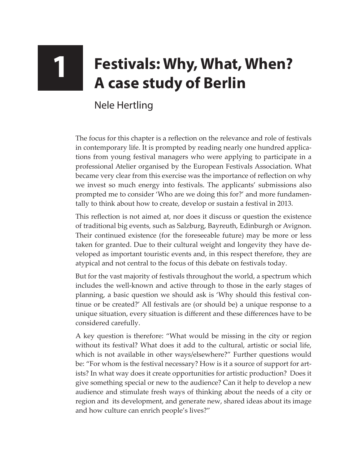## **1 Festivals: Why, What, When? A case study of Berlin**

Nele Hertling

The focus for this chapter is a reflection on the relevance and role of festivals in contemporary life. It is prompted by reading nearly one hundred applications from young festival managers who were applying to participate in a professional Atelier organised by the European Festivals Association. What became very clear from this exercise was the importance of reflection on why we invest so much energy into festivals. The applicants' submissions also prompted me to consider 'Who are we doing this for?' and more fundamentally to think about how to create, develop or sustain a festival in 2013.

This reflection is not aimed at, nor does it discuss or question the existence of traditional big events, such as Salzburg, Bayreuth, Edinburgh or Avignon. Their continued existence (for the foreseeable future) may be more or less taken for granted. Due to their cultural weight and longevity they have developed as important touristic events and, in this respect therefore, they are atypical and not central to the focus of this debate on festivals today.

But for the vast majority of festivals throughout the world, a spectrum which includes the well-known and active through to those in the early stages of planning, a basic question we should ask is 'Why should this festival continue or be created?' All festivals are (or should be) a unique response to a unique situation, every situation is different and these differences have to be considered carefully.

A key question is therefore: "What would be missing in the city or region without its festival? What does it add to the cultural, artistic or social life, which is not available in other ways/elsewhere?" Further questions would be: "For whom is the festival necessary? How is it a source of support for artists? In what way does it create opportunities for artistic production? Does it give something special or new to the audience? Can it help to develop a new audience and stimulate fresh ways of thinking about the needs of a city or region and its development, and generate new, shared ideas about its image and how culture can enrich people's lives?"